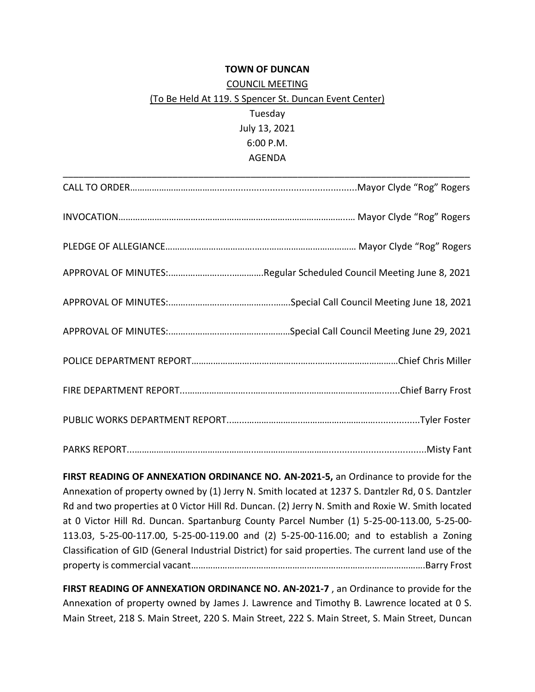## **TOWN OF DUNCAN** COUNCIL MEETING (To Be Held At 119. S Spencer St. Duncan Event Center) Tuesday July 13, 2021 6:00 P.M. AGENDA

**FIRST READING OF ANNEXATION ORDINANCE NO. AN-2021-5,** an Ordinance to provide for the Annexation of property owned by (1) Jerry N. Smith located at 1237 S. Dantzler Rd, 0 S. Dantzler Rd and two properties at 0 Victor Hill Rd. Duncan. (2) Jerry N. Smith and Roxie W. Smith located at 0 Victor Hill Rd. Duncan. Spartanburg County Parcel Number (1) 5-25-00-113.00, 5-25-00- 113.03, 5-25-00-117.00, 5-25-00-119.00 and (2) 5-25-00-116.00; and to establish a Zoning Classification of GID (General Industrial District) for said properties. The current land use of the property is commercial vacant…………………………………………………………………………………….Barry Frost

**FIRST READING OF ANNEXATION ORDINANCE NO. AN-2021-7** , an Ordinance to provide for the Annexation of property owned by James J. Lawrence and Timothy B. Lawrence located at 0 S. Main Street, 218 S. Main Street, 220 S. Main Street, 222 S. Main Street, S. Main Street, Duncan